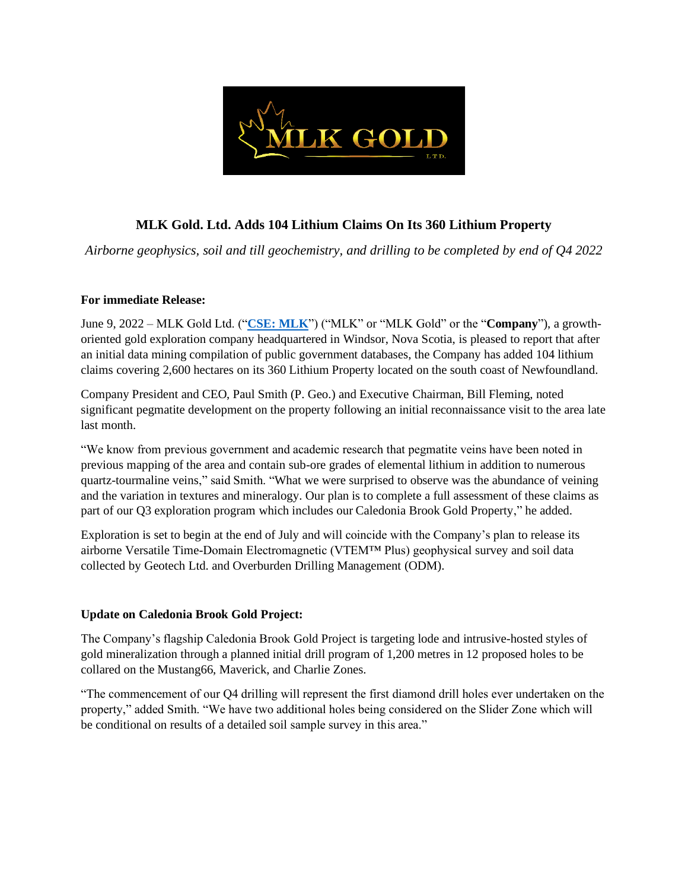

# **MLK Gold. Ltd. Adds 104 Lithium Claims On Its 360 Lithium Property**

*Airborne geophysics, soil and till geochemistry, and drilling to be completed by end of Q4 2022* 

### **For immediate Release:**

June 9, 2022 – MLK Gold Ltd. ("**CSE: [MLK](https://thecse.com/en/listings/mining/mlk-gold-ltd)**") ("MLK" or "MLK Gold" or the "**Company**"), a growthoriented gold exploration company headquartered in Windsor, Nova Scotia, is pleased to report that after an initial data mining compilation of public government databases, the Company has added 104 lithium claims covering 2,600 hectares on its 360 Lithium Property located on the south coast of Newfoundland.

Company President and CEO, Paul Smith (P. Geo.) and Executive Chairman, Bill Fleming, noted significant pegmatite development on the property following an initial reconnaissance visit to the area late last month.

"We know from previous government and academic research that pegmatite veins have been noted in previous mapping of the area and contain sub-ore grades of elemental lithium in addition to numerous quartz-tourmaline veins," said Smith. "What we were surprised to observe was the abundance of veining and the variation in textures and mineralogy. Our plan is to complete a full assessment of these claims as part of our Q3 exploration program which includes our Caledonia Brook Gold Property," he added.

Exploration is set to begin at the end of July and will coincide with the Company's plan to release its airborne Versatile Time-Domain Electromagnetic (VTEM™ Plus) geophysical survey and soil data collected by Geotech Ltd. and Overburden Drilling Management (ODM).

# **Update on Caledonia Brook Gold Project:**

The Company's flagship Caledonia Brook Gold Project is targeting lode and intrusive-hosted styles of gold mineralization through a planned initial drill program of 1,200 metres in 12 proposed holes to be collared on the Mustang66, Maverick, and Charlie Zones.

"The commencement of our Q4 drilling will represent the first diamond drill holes ever undertaken on the property," added Smith. "We have two additional holes being considered on the Slider Zone which will be conditional on results of a detailed soil sample survey in this area."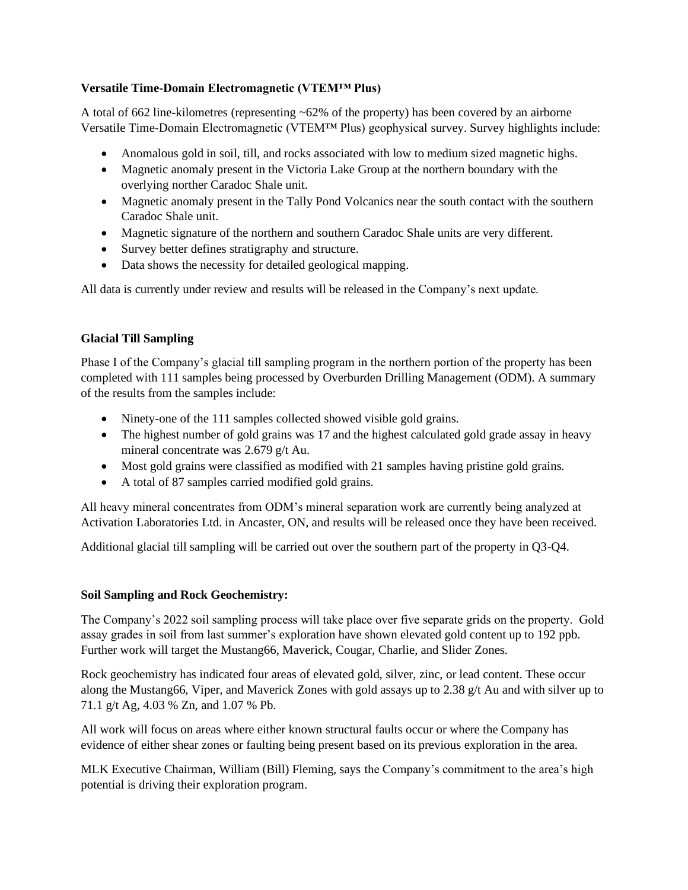### **Versatile Time-Domain Electromagnetic (VTEM™ Plus)**

A total of 662 line-kilometres (representing ~62% of the property) has been covered by an airborne Versatile Time-Domain Electromagnetic (VTEM™ Plus) geophysical survey. Survey highlights include:

- Anomalous gold in soil, till, and rocks associated with low to medium sized magnetic highs.
- Magnetic anomaly present in the Victoria Lake Group at the northern boundary with the overlying norther Caradoc Shale unit.
- Magnetic anomaly present in the Tally Pond Volcanics near the south contact with the southern Caradoc Shale unit.
- Magnetic signature of the northern and southern Caradoc Shale units are very different.
- Survey better defines stratigraphy and structure.
- Data shows the necessity for detailed geological mapping.

All data is currently under review and results will be released in the Company's next update.

# **Glacial Till Sampling**

Phase I of the Company's glacial till sampling program in the northern portion of the property has been completed with 111 samples being processed by Overburden Drilling Management (ODM). A summary of the results from the samples include:

- Ninety-one of the 111 samples collected showed visible gold grains.
- The highest number of gold grains was 17 and the highest calculated gold grade assay in heavy mineral concentrate was 2.679 g/t Au.
- Most gold grains were classified as modified with 21 samples having pristine gold grains.
- A total of 87 samples carried modified gold grains.

All heavy mineral concentrates from ODM's mineral separation work are currently being analyzed at Activation Laboratories Ltd. in Ancaster, ON, and results will be released once they have been received.

Additional glacial till sampling will be carried out over the southern part of the property in Q3-Q4.

# **Soil Sampling and Rock Geochemistry:**

The Company's 2022 soil sampling process will take place over five separate grids on the property. Gold assay grades in soil from last summer's exploration have shown elevated gold content up to 192 ppb. Further work will target the Mustang66, Maverick, Cougar, Charlie, and Slider Zones.

Rock geochemistry has indicated four areas of elevated gold, silver, zinc, or lead content. These occur along the Mustang66, Viper, and Maverick Zones with gold assays up to 2.38 g/t Au and with silver up to 71.1 g/t Ag, 4.03 % Zn, and 1.07 % Pb.

All work will focus on areas where either known structural faults occur or where the Company has evidence of either shear zones or faulting being present based on its previous exploration in the area.

MLK Executive Chairman, William (Bill) Fleming, says the Company's commitment to the area's high potential is driving their exploration program.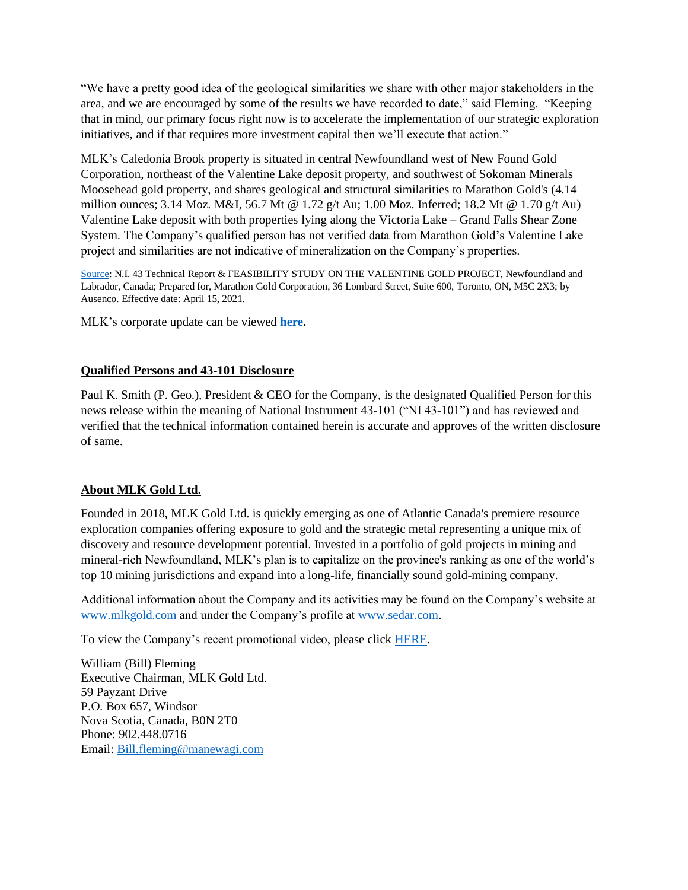"We have a pretty good idea of the geological similarities we share with other major stakeholders in the area, and we are encouraged by some of the results we have recorded to date," said Fleming. "Keeping that in mind, our primary focus right now is to accelerate the implementation of our strategic exploration initiatives, and if that requires more investment capital then we'll execute that action."

MLK's Caledonia Brook property is situated in central Newfoundland west of New Found Gold Corporation, northeast of the Valentine Lake deposit property, and southwest of Sokoman Minerals Moosehead gold property, and shares geological and structural similarities to Marathon Gold's (4.14 million ounces; 3.14 Moz. M&I, 56.7 Mt @ 1.72 g/t Au; 1.00 Moz. Inferred; 18.2 Mt @ 1.70 g/t Au) Valentine Lake deposit with both properties lying along the Victoria Lake – Grand Falls Shear Zone System. The Company's qualified person has not verified data from Marathon Gold's Valentine Lake project and similarities are not indicative of mineralization on the Company's properties.

[Source:](https://marathon-gold.com/site/uploads/2021/04/Valentine-Gold-43-101_FS-Report_FINAL_Apr23_R2.pdf) N.I. 43 Technical Report & FEASIBILITY STUDY ON THE VALENTINE GOLD PROJECT, Newfoundland and Labrador, Canada; Prepared for, Marathon Gold Corporation, 36 Lombard Street, Suite 600, Toronto, ON, M5C 2X3; by Ausenco. Effective date: April 15, 2021.

MLK's corporate update can be viewed **[here.](https://www.mlkgold.com/wp-content/uploads/2022/06/2022-05-23-MLK-CalBk-Slide-Deck_BOD_v5MK.pdf)**

#### **Qualified Persons and 43-101 Disclosure**

Paul K. Smith (P. Geo.), President & CEO for the Company, is the designated Qualified Person for this news release within the meaning of National Instrument 43-101 ("NI 43-101") and has reviewed and verified that the technical information contained herein is accurate and approves of the written disclosure of same.

#### **About MLK Gold Ltd.**

Founded in 2018, MLK Gold Ltd. is quickly emerging as one of Atlantic Canada's premiere resource exploration companies offering exposure to gold and the strategic metal representing a unique mix of discovery and resource development potential. Invested in a portfolio of gold projects in mining and mineral-rich Newfoundland, MLK's plan is to capitalize on the province's ranking as one of the world's top 10 mining jurisdictions and expand into a long-life, financially sound gold-mining company.

Additional information about the Company and its activities may be found on the Company's website at [www.mlkgold.com](http://www.mlkgold.com/) and under the Company's profile a[t www.sedar.com.](http://www.sedar.com/)

To view the Company's recent promotional video, please click [HERE.](https://youtu.be/EBzffSRzyuM)

William (Bill) Fleming Executive Chairman, MLK Gold Ltd. 59 Payzant Drive P.O. Box 657, Windsor Nova Scotia, Canada, B0N 2T0 Phone: 902.448.0716 Email: [Bill.fleming@manewagi.com](mailto:Bill.fleming@manewagi.com)